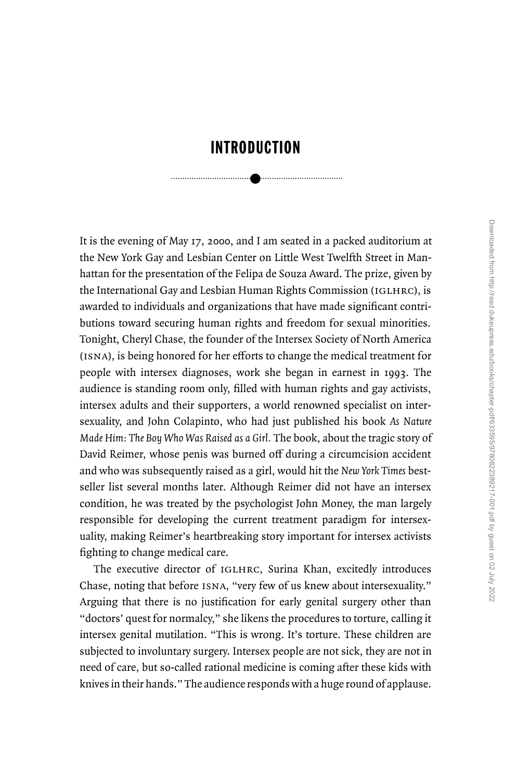# INTRODUCTION

........................................................................... ●

It is the evening of May 17, 2000, and I am seated in a packed auditorium at the New York Gay and Lesbian Center on Little West Twelfth Street in Manhattan for the presentation of the Felipa de Souza Award. The prize, given by the International Gay and Lesbian Human Rights Commission (IGLHRC), is awarded to individuals and organizations that have made significant contributions toward securing human rights and freedom for sexual minorities. Tonight, Cheryl Chase, the founder of the Intersex Society of North America (ISNA), is being honored for her efforts to change the medical treatment for people with intersex diagnoses, work she began in earnest in 1993. The audience is standing room only, filled with human rights and gay activists, intersex adults and their supporters, a world renowned specialist on intersexuality, and John Colapinto, who had just published his book *As Nature Made Him: The Boy Who Was Raised as a Girl.* The book, about the tragic story of David Reimer, whose penis was burned off during a circumcision accident and who was subsequently raised as a girl, would hit the *New York Times* bestseller list several months later. Although Reimer did not have an intersex condition, he was treated by the psychologist John Money, the man largely responsible for developing the current treatment paradigm for intersexuality, making Reimer's heartbreaking story important for intersex activists fighting to change medical care.

The executive director of IGLHRC, Surina Khan, excitedly introduces Chase, noting that before isna, ''very few of us knew about intersexuality.'' Arguing that there is no justification for early genital surgery other than "doctors' quest for normalcy," she likens the procedures to torture, calling it intersex genital mutilation. "This is wrong. It's torture. These children are subjected to involuntary surgery. Intersex people are not sick, they are not in need of care, but so-called rational medicine is coming after these kids with knives in their hands.'' The audience responds with a huge round of applause.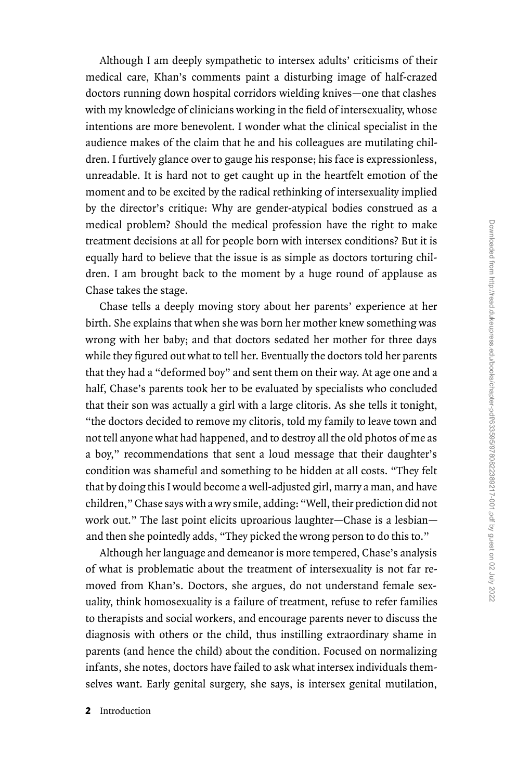Although I am deeply sympathetic to intersex adults' criticisms of their medical care, Khan's comments paint a disturbing image of half-crazed doctors running down hospital corridors wielding knives—one that clashes with my knowledge of clinicians working in the field of intersexuality, whose intentions are more benevolent. I wonder what the clinical specialist in the audience makes of the claim that he and his colleagues are mutilating children. I furtively glance over to gauge his response; his face is expressionless, unreadable. It is hard not to get caught up in the heartfelt emotion of the moment and to be excited by the radical rethinking of intersexuality implied by the director's critique: Why are gender-atypical bodies construed as a medical problem? Should the medical profession have the right to make treatment decisions at all for people born with intersex conditions? But it is equally hard to believe that the issue is as simple as doctors torturing children. I am brought back to the moment by a huge round of applause as Chase takes the stage.

Chase tells a deeply moving story about her parents' experience at her birth. She explains that when she was born her mother knew something was wrong with her baby; and that doctors sedated her mother for three days while they figured out what to tell her. Eventually the doctors told her parents that they had a ''deformed boy'' and sent them on their way. At age one and a half, Chase's parents took her to be evaluated by specialists who concluded that their son was actually a girl with a large clitoris. As she tells it tonight, ''the doctors decided to remove my clitoris, told my family to leave town and not tell anyone what had happened, and to destroy all the old photos of me as a boy,'' recommendations that sent a loud message that their daughter's condition was shameful and something to be hidden at all costs. ''They felt that by doing this I would become a well-adjusted girl, marry a man, and have children,'' Chase says with a wry smile, adding: ''Well, their prediction did not work out.'' The last point elicits uproarious laughter—Chase is a lesbian and then she pointedly adds, ''They picked the wrong person to do this to.''

Although her language and demeanor is more tempered, Chase's analysis of what is problematic about the treatment of intersexuality is not far removed from Khan's. Doctors, she argues, do not understand female sexuality, think homosexuality is a failure of treatment, refuse to refer families to therapists and social workers, and encourage parents never to discuss the diagnosis with others or the child, thus instilling extraordinary shame in parents (and hence the child) about the condition. Focused on normalizing infants, she notes, doctors have failed to ask what intersex individuals themselves want. Early genital surgery, she says, is intersex genital mutilation,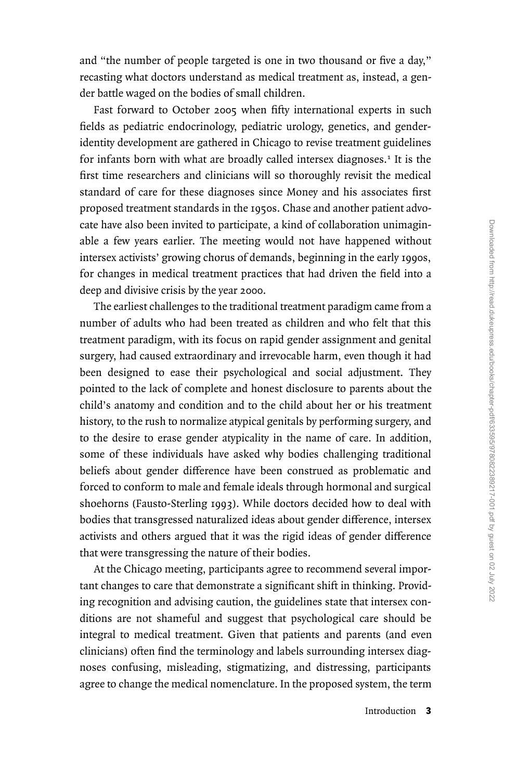and ''the number of people targeted is one in two thousand or five a day,'' recasting what doctors understand as medical treatment as, instead, a gender battle waged on the bodies of small children.

Fast forward to October 2005 when fifty international experts in such fields as pediatric endocrinology, pediatric urology, genetics, and genderidentity development are gathered in Chicago to revise treatment guidelines for infants born with what are broadly called intersex diagnoses.<sup>1</sup> It is the first time researchers and clinicians will so thoroughly revisit the medical standard of care for these diagnoses since Money and his associates first proposed treatment standards in the 1950s. Chase and another patient advocate have also been invited to participate, a kind of collaboration unimaginable a few years earlier. The meeting would not have happened without intersex activists' growing chorus of demands, beginning in the early 1990s, for changes in medical treatment practices that had driven the field into a deep and divisive crisis by the year 2000.

The earliest challenges to the traditional treatment paradigm came from a number of adults who had been treated as children and who felt that this treatment paradigm, with its focus on rapid gender assignment and genital surgery, had caused extraordinary and irrevocable harm, even though it had been designed to ease their psychological and social adjustment. They pointed to the lack of complete and honest disclosure to parents about the child's anatomy and condition and to the child about her or his treatment history, to the rush to normalize atypical genitals by performing surgery, and to the desire to erase gender atypicality in the name of care. In addition, some of these individuals have asked why bodies challenging traditional beliefs about gender difference have been construed as problematic and forced to conform to male and female ideals through hormonal and surgical shoehorns (Fausto-Sterling 1993). While doctors decided how to deal with bodies that transgressed naturalized ideas about gender difference, intersex activists and others argued that it was the rigid ideas of gender difference that were transgressing the nature of their bodies.

At the Chicago meeting, participants agree to recommend several important changes to care that demonstrate a significant shift in thinking. Providing recognition and advising caution, the guidelines state that intersex conditions are not shameful and suggest that psychological care should be integral to medical treatment. Given that patients and parents (and even clinicians) often find the terminology and labels surrounding intersex diagnoses confusing, misleading, stigmatizing, and distressing, participants agree to change the medical nomenclature. In the proposed system, the term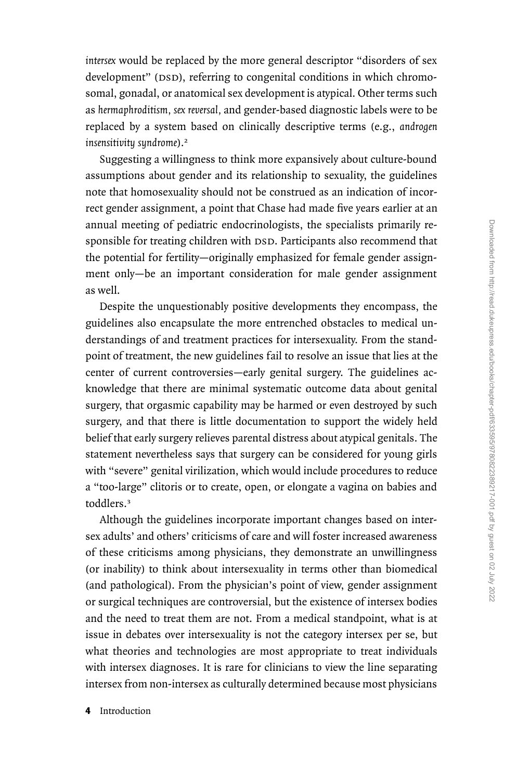*intersex* would be replaced by the more general descriptor ''disorders of sex development" (DSD), referring to congenital conditions in which chromosomal, gonadal, or anatomical sex development is atypical. Other terms such as *hermaphroditism, sex reversal,* and gender-based diagnostic labels were to be replaced by a system based on clinically descriptive terms (e.g., *androgen insensitivity syndrome*).≤

Suggesting a willingness to think more expansively about culture-bound assumptions about gender and its relationship to sexuality, the guidelines note that homosexuality should not be construed as an indication of incorrect gender assignment, a point that Chase had made five years earlier at an annual meeting of pediatric endocrinologists, the specialists primarily responsible for treating children with DSD. Participants also recommend that the potential for fertility—originally emphasized for female gender assignment only—be an important consideration for male gender assignment as well.

Despite the unquestionably positive developments they encompass, the guidelines also encapsulate the more entrenched obstacles to medical understandings of and treatment practices for intersexuality. From the standpoint of treatment, the new guidelines fail to resolve an issue that lies at the center of current controversies—early genital surgery. The guidelines acknowledge that there are minimal systematic outcome data about genital surgery, that orgasmic capability may be harmed or even destroyed by such surgery, and that there is little documentation to support the widely held belief that early surgery relieves parental distress about atypical genitals. The statement nevertheless says that surgery can be considered for young girls with ''severe'' genital virilization, which would include procedures to reduce a ''too-large'' clitoris or to create, open, or elongate a vagina on babies and toddlers<sup>3</sup>

Although the guidelines incorporate important changes based on intersex adults' and others' criticisms of care and will foster increased awareness of these criticisms among physicians, they demonstrate an unwillingness (or inability) to think about intersexuality in terms other than biomedical (and pathological). From the physician's point of view, gender assignment or surgical techniques are controversial, but the existence of intersex bodies and the need to treat them are not. From a medical standpoint, what is at issue in debates over intersexuality is not the category intersex per se, but what theories and technologies are most appropriate to treat individuals with intersex diagnoses. It is rare for clinicians to view the line separating intersex from non-intersex as culturally determined because most physicians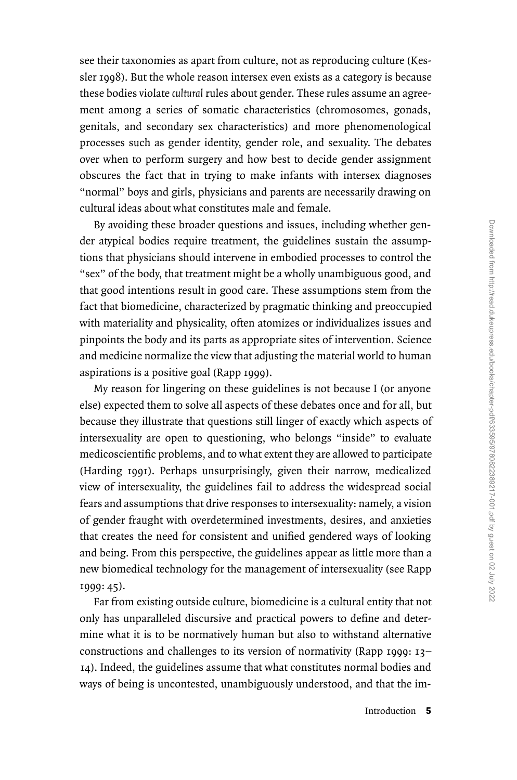see their taxonomies as apart from culture, not as reproducing culture (Kessler 1998). But the whole reason intersex even exists as a category is because these bodies violate *cultural* rules about gender. These rules assume an agreement among a series of somatic characteristics (chromosomes, gonads, genitals, and secondary sex characteristics) and more phenomenological processes such as gender identity, gender role, and sexuality. The debates over when to perform surgery and how best to decide gender assignment obscures the fact that in trying to make infants with intersex diagnoses "normal" boys and girls, physicians and parents are necessarily drawing on cultural ideas about what constitutes male and female.

By avoiding these broader questions and issues, including whether gender atypical bodies require treatment, the guidelines sustain the assumptions that physicians should intervene in embodied processes to control the "sex" of the body, that treatment might be a wholly unambiguous good, and that good intentions result in good care. These assumptions stem from the fact that biomedicine, characterized by pragmatic thinking and preoccupied with materiality and physicality, often atomizes or individualizes issues and pinpoints the body and its parts as appropriate sites of intervention. Science and medicine normalize the view that adjusting the material world to human aspirations is a positive goal (Rapp 1999).

My reason for lingering on these guidelines is not because I (or anyone else) expected them to solve all aspects of these debates once and for all, but because they illustrate that questions still linger of exactly which aspects of intersexuality are open to questioning, who belongs ''inside'' to evaluate medicoscientific problems, and to what extent they are allowed to participate (Harding 1991). Perhaps unsurprisingly, given their narrow, medicalized view of intersexuality, the guidelines fail to address the widespread social fears and assumptions that drive responses to intersexuality: namely, a vision of gender fraught with overdetermined investments, desires, and anxieties that creates the need for consistent and unified gendered ways of looking and being. From this perspective, the guidelines appear as little more than a new biomedical technology for the management of intersexuality (see Rapp 1999: 45).

Far from existing outside culture, biomedicine is a cultural entity that not only has unparalleled discursive and practical powers to define and determine what it is to be normatively human but also to withstand alternative constructions and challenges to its version of normativity (Rapp 1999: 13– 14). Indeed, the guidelines assume that what constitutes normal bodies and ways of being is uncontested, unambiguously understood, and that the im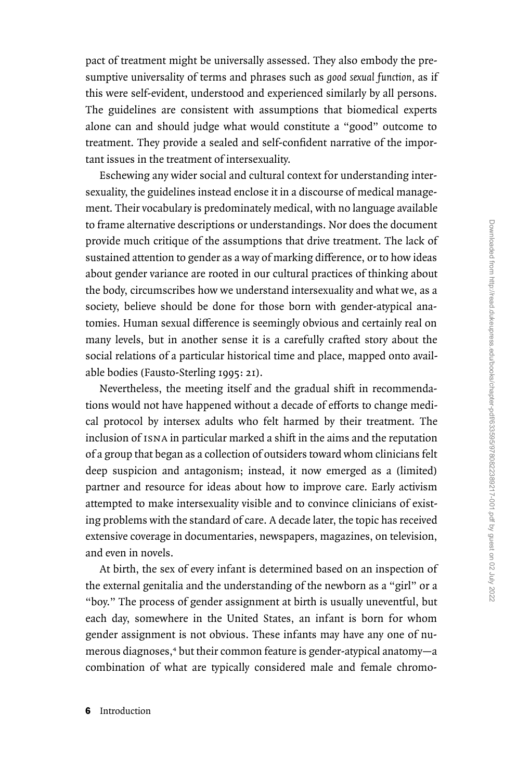pact of treatment might be universally assessed. They also embody the presumptive universality of terms and phrases such as *good sexual function,* as if this were self-evident, understood and experienced similarly by all persons. The guidelines are consistent with assumptions that biomedical experts alone can and should judge what would constitute a ''good'' outcome to treatment. They provide a sealed and self-confident narrative of the important issues in the treatment of intersexuality.

Eschewing any wider social and cultural context for understanding intersexuality, the guidelines instead enclose it in a discourse of medical management. Their vocabulary is predominately medical, with no language available to frame alternative descriptions or understandings. Nor does the document provide much critique of the assumptions that drive treatment. The lack of sustained attention to gender as a way of marking difference, or to how ideas about gender variance are rooted in our cultural practices of thinking about the body, circumscribes how we understand intersexuality and what we, as a society, believe should be done for those born with gender-atypical anatomies. Human sexual difference is seemingly obvious and certainly real on many levels, but in another sense it is a carefully crafted story about the social relations of a particular historical time and place, mapped onto available bodies (Fausto-Sterling 1995: 21).

Nevertheless, the meeting itself and the gradual shift in recommendations would not have happened without a decade of efforts to change medical protocol by intersex adults who felt harmed by their treatment. The inclusion of isna in particular marked a shift in the aims and the reputation of a group that began as a collection of outsiders toward whom clinicians felt deep suspicion and antagonism; instead, it now emerged as a (limited) partner and resource for ideas about how to improve care. Early activism attempted to make intersexuality visible and to convince clinicians of existing problems with the standard of care. A decade later, the topic has received extensive coverage in documentaries, newspapers, magazines, on television, and even in novels.

At birth, the sex of every infant is determined based on an inspection of the external genitalia and the understanding of the newborn as a ''girl'' or a "boy." The process of gender assignment at birth is usually uneventful, but each day, somewhere in the United States, an infant is born for whom gender assignment is not obvious. These infants may have any one of numerous diagnoses,<sup>4</sup> but their common feature is gender-atypical anatomy—a combination of what are typically considered male and female chromo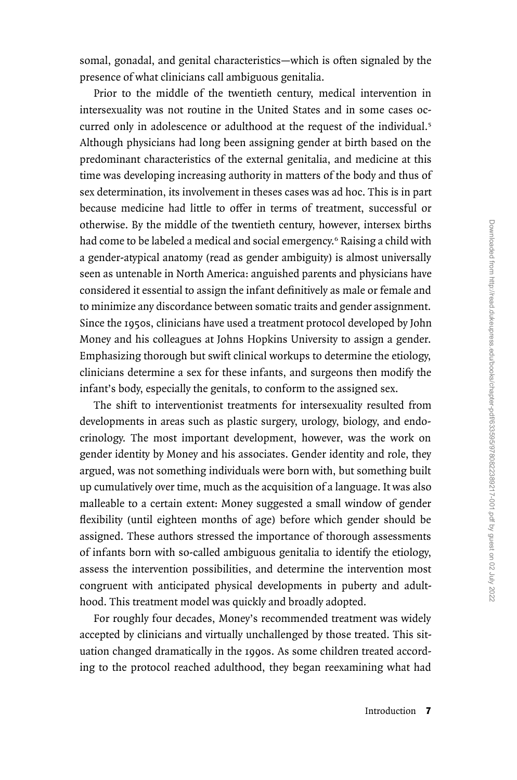somal, gonadal, and genital characteristics—which is often signaled by the presence of what clinicians call ambiguous genitalia.

Prior to the middle of the twentieth century, medical intervention in intersexuality was not routine in the United States and in some cases occurred only in adolescence or adulthood at the request of the individual.<sup>5</sup> Although physicians had long been assigning gender at birth based on the predominant characteristics of the external genitalia, and medicine at this time was developing increasing authority in matters of the body and thus of sex determination, its involvement in theses cases was ad hoc. This is in part because medicine had little to offer in terms of treatment, successful or otherwise. By the middle of the twentieth century, however, intersex births had come to be labeled a medical and social emergency.6 Raising a child with a gender-atypical anatomy (read as gender ambiguity) is almost universally seen as untenable in North America: anguished parents and physicians have considered it essential to assign the infant definitively as male or female and to minimize any discordance between somatic traits and gender assignment. Since the 1950s, clinicians have used a treatment protocol developed by John Money and his colleagues at Johns Hopkins University to assign a gender. Emphasizing thorough but swift clinical workups to determine the etiology, clinicians determine a sex for these infants, and surgeons then modify the infant's body, especially the genitals, to conform to the assigned sex.

The shift to interventionist treatments for intersexuality resulted from developments in areas such as plastic surgery, urology, biology, and endocrinology. The most important development, however, was the work on gender identity by Money and his associates. Gender identity and role, they argued, was not something individuals were born with, but something built up cumulatively over time, much as the acquisition of a language. It was also malleable to a certain extent: Money suggested a small window of gender flexibility (until eighteen months of age) before which gender should be assigned. These authors stressed the importance of thorough assessments of infants born with so-called ambiguous genitalia to identify the etiology, assess the intervention possibilities, and determine the intervention most congruent with anticipated physical developments in puberty and adulthood. This treatment model was quickly and broadly adopted.

For roughly four decades, Money's recommended treatment was widely accepted by clinicians and virtually unchallenged by those treated. This situation changed dramatically in the 1990s. As some children treated according to the protocol reached adulthood, they began reexamining what had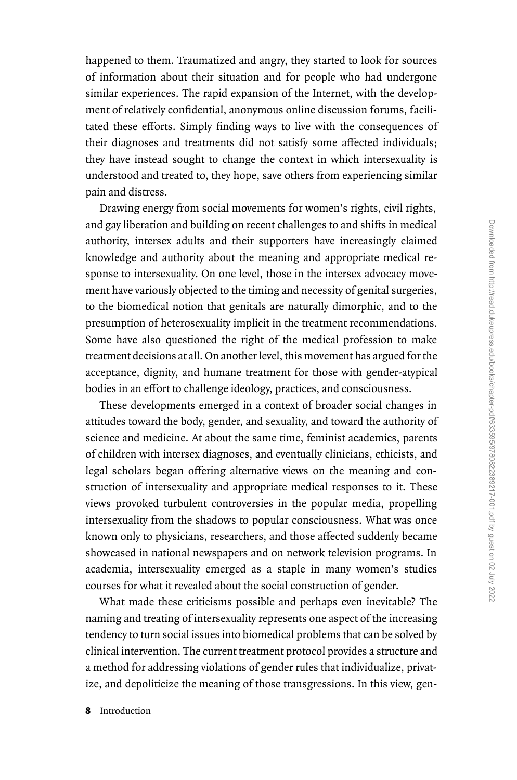happened to them. Traumatized and angry, they started to look for sources of information about their situation and for people who had undergone similar experiences. The rapid expansion of the Internet, with the development of relatively confidential, anonymous online discussion forums, facilitated these efforts. Simply finding ways to live with the consequences of their diagnoses and treatments did not satisfy some affected individuals; they have instead sought to change the context in which intersexuality is understood and treated to, they hope, save others from experiencing similar pain and distress.

Drawing energy from social movements for women's rights, civil rights, and gay liberation and building on recent challenges to and shifts in medical authority, intersex adults and their supporters have increasingly claimed knowledge and authority about the meaning and appropriate medical response to intersexuality. On one level, those in the intersex advocacy movement have variously objected to the timing and necessity of genital surgeries, to the biomedical notion that genitals are naturally dimorphic, and to the presumption of heterosexuality implicit in the treatment recommendations. Some have also questioned the right of the medical profession to make treatment decisions at all. On another level, this movement has argued for the acceptance, dignity, and humane treatment for those with gender-atypical bodies in an effort to challenge ideology, practices, and consciousness.

These developments emerged in a context of broader social changes in attitudes toward the body, gender, and sexuality, and toward the authority of science and medicine. At about the same time, feminist academics, parents of children with intersex diagnoses, and eventually clinicians, ethicists, and legal scholars began offering alternative views on the meaning and construction of intersexuality and appropriate medical responses to it. These views provoked turbulent controversies in the popular media, propelling intersexuality from the shadows to popular consciousness. What was once known only to physicians, researchers, and those affected suddenly became showcased in national newspapers and on network television programs. In academia, intersexuality emerged as a staple in many women's studies courses for what it revealed about the social construction of gender.

What made these criticisms possible and perhaps even inevitable? The naming and treating of intersexuality represents one aspect of the increasing tendency to turn social issues into biomedical problems that can be solved by clinical intervention. The current treatment protocol provides a structure and a method for addressing violations of gender rules that individualize, privatize, and depoliticize the meaning of those transgressions. In this view, gen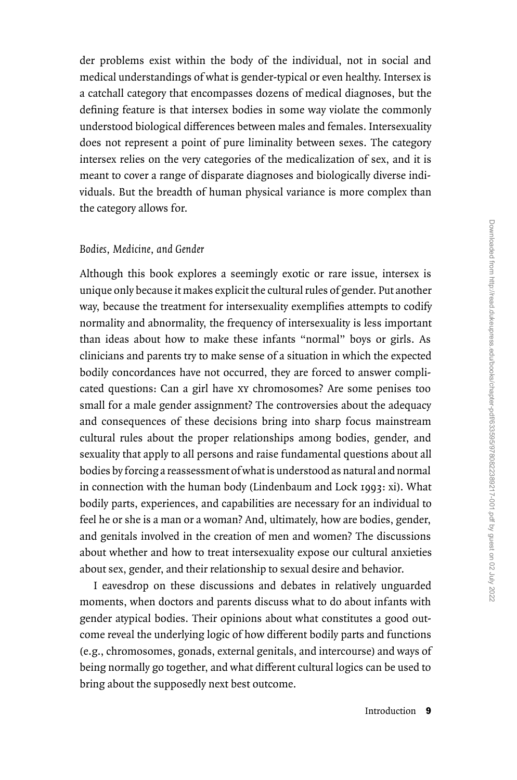der problems exist within the body of the individual, not in social and medical understandings of what is gender-typical or even healthy. Intersex is a catchall category that encompasses dozens of medical diagnoses, but the defining feature is that intersex bodies in some way violate the commonly understood biological differences between males and females. Intersexuality does not represent a point of pure liminality between sexes. The category intersex relies on the very categories of the medicalization of sex, and it is meant to cover a range of disparate diagnoses and biologically diverse individuals. But the breadth of human physical variance is more complex than the category allows for.

## *Bodies, Medicine, and Gender*

Although this book explores a seemingly exotic or rare issue, intersex is unique only because it makes explicit the cultural rules of gender. Put another way, because the treatment for intersexuality exemplifies attempts to codify normality and abnormality, the frequency of intersexuality is less important than ideas about how to make these infants ''normal'' boys or girls. As clinicians and parents try to make sense of a situation in which the expected bodily concordances have not occurred, they are forced to answer complicated questions: Can a girl have xy chromosomes? Are some penises too small for a male gender assignment? The controversies about the adequacy and consequences of these decisions bring into sharp focus mainstream cultural rules about the proper relationships among bodies, gender, and sexuality that apply to all persons and raise fundamental questions about all bodies by forcing a reassessment of what is understood as natural and normal in connection with the human body (Lindenbaum and Lock 1993: xi). What bodily parts, experiences, and capabilities are necessary for an individual to feel he or she is a man or a woman? And, ultimately, how are bodies, gender, and genitals involved in the creation of men and women? The discussions about whether and how to treat intersexuality expose our cultural anxieties about sex, gender, and their relationship to sexual desire and behavior.

I eavesdrop on these discussions and debates in relatively unguarded moments, when doctors and parents discuss what to do about infants with gender atypical bodies. Their opinions about what constitutes a good outcome reveal the underlying logic of how different bodily parts and functions (e.g., chromosomes, gonads, external genitals, and intercourse) and ways of being normally go together, and what different cultural logics can be used to bring about the supposedly next best outcome.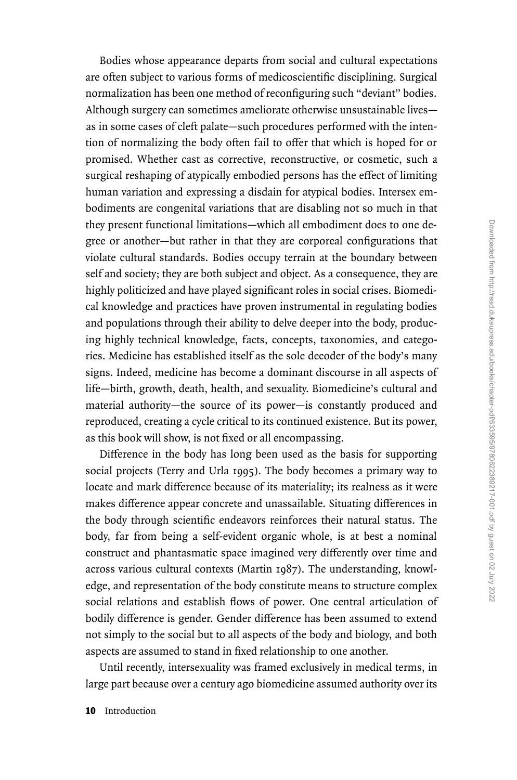Bodies whose appearance departs from social and cultural expectations are often subject to various forms of medicoscientific disciplining. Surgical normalization has been one method of reconfiguring such ''deviant'' bodies. Although surgery can sometimes ameliorate otherwise unsustainable lives as in some cases of cleft palate—such procedures performed with the intention of normalizing the body often fail to offer that which is hoped for or promised. Whether cast as corrective, reconstructive, or cosmetic, such a surgical reshaping of atypically embodied persons has the effect of limiting human variation and expressing a disdain for atypical bodies. Intersex embodiments are congenital variations that are disabling not so much in that they present functional limitations—which all embodiment does to one degree or another—but rather in that they are corporeal configurations that violate cultural standards. Bodies occupy terrain at the boundary between self and society; they are both subject and object. As a consequence, they are highly politicized and have played significant roles in social crises. Biomedical knowledge and practices have proven instrumental in regulating bodies and populations through their ability to delve deeper into the body, producing highly technical knowledge, facts, concepts, taxonomies, and categories. Medicine has established itself as the sole decoder of the body's many signs. Indeed, medicine has become a dominant discourse in all aspects of life—birth, growth, death, health, and sexuality. Biomedicine's cultural and material authority—the source of its power—is constantly produced and reproduced, creating a cycle critical to its continued existence. But its power, as this book will show, is not fixed or all encompassing.

Difference in the body has long been used as the basis for supporting social projects (Terry and Urla 1995). The body becomes a primary way to locate and mark difference because of its materiality; its realness as it were makes difference appear concrete and unassailable. Situating differences in the body through scientific endeavors reinforces their natural status. The body, far from being a self-evident organic whole, is at best a nominal construct and phantasmatic space imagined very differently over time and across various cultural contexts (Martin 1987). The understanding, knowledge, and representation of the body constitute means to structure complex social relations and establish flows of power. One central articulation of bodily difference is gender. Gender difference has been assumed to extend not simply to the social but to all aspects of the body and biology, and both aspects are assumed to stand in fixed relationship to one another.

Until recently, intersexuality was framed exclusively in medical terms, in large part because over a century ago biomedicine assumed authority over its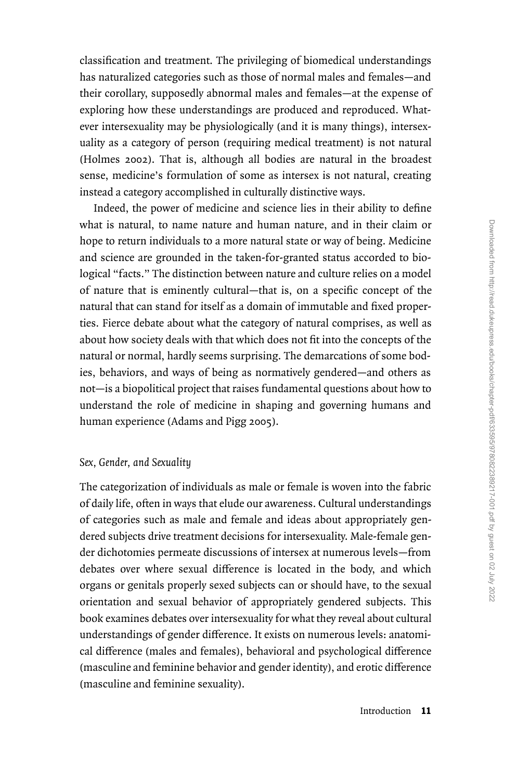classification and treatment. The privileging of biomedical understandings has naturalized categories such as those of normal males and females—and their corollary, supposedly abnormal males and females—at the expense of exploring how these understandings are produced and reproduced. Whatever intersexuality may be physiologically (and it is many things), intersexuality as a category of person (requiring medical treatment) is not natural (Holmes 2002). That is, although all bodies are natural in the broadest sense, medicine's formulation of some as intersex is not natural, creating instead a category accomplished in culturally distinctive ways.

Indeed, the power of medicine and science lies in their ability to define what is natural, to name nature and human nature, and in their claim or hope to return individuals to a more natural state or way of being. Medicine and science are grounded in the taken-for-granted status accorded to biological "facts." The distinction between nature and culture relies on a model of nature that is eminently cultural—that is, on a specific concept of the natural that can stand for itself as a domain of immutable and fixed properties. Fierce debate about what the category of natural comprises, as well as about how society deals with that which does not fit into the concepts of the natural or normal, hardly seems surprising. The demarcations of some bodies, behaviors, and ways of being as normatively gendered—and others as not—is a biopolitical project that raises fundamental questions about how to understand the role of medicine in shaping and governing humans and human experience (Adams and Pigg 2005).

# *Sex, Gender, and Sexuality*

The categorization of individuals as male or female is woven into the fabric of daily life, often in ways that elude our awareness. Cultural understandings of categories such as male and female and ideas about appropriately gendered subjects drive treatment decisions for intersexuality. Male-female gender dichotomies permeate discussions of intersex at numerous levels—from debates over where sexual difference is located in the body, and which organs or genitals properly sexed subjects can or should have, to the sexual orientation and sexual behavior of appropriately gendered subjects. This book examines debates over intersexuality for what they reveal about cultural understandings of gender difference. It exists on numerous levels: anatomical difference (males and females), behavioral and psychological difference (masculine and feminine behavior and gender identity), and erotic difference (masculine and feminine sexuality).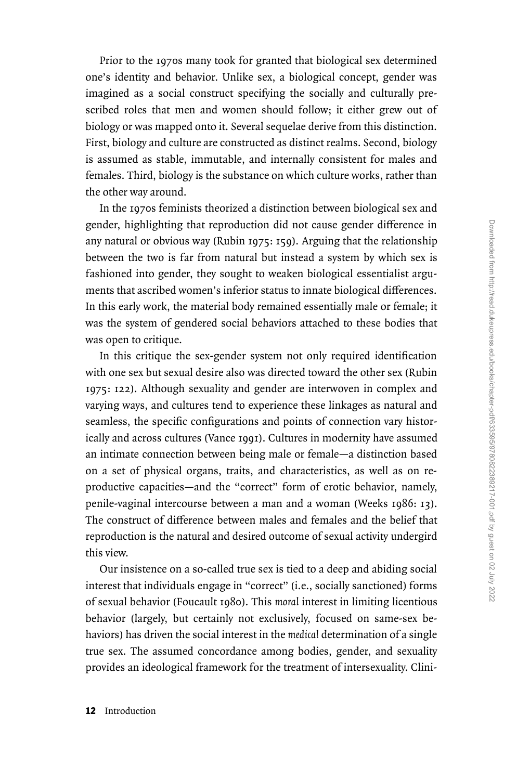Prior to the 1970s many took for granted that biological sex determined one's identity and behavior. Unlike sex, a biological concept, gender was imagined as a social construct specifying the socially and culturally prescribed roles that men and women should follow; it either grew out of biology or was mapped onto it. Several sequelae derive from this distinction. First, biology and culture are constructed as distinct realms. Second, biology is assumed as stable, immutable, and internally consistent for males and females. Third, biology is the substance on which culture works, rather than the other way around.

In the 1970s feminists theorized a distinction between biological sex and gender, highlighting that reproduction did not cause gender difference in any natural or obvious way (Rubin 1975: 159). Arguing that the relationship between the two is far from natural but instead a system by which sex is fashioned into gender, they sought to weaken biological essentialist arguments that ascribed women's inferior status to innate biological differences. In this early work, the material body remained essentially male or female; it was the system of gendered social behaviors attached to these bodies that was open to critique.

In this critique the sex-gender system not only required identification with one sex but sexual desire also was directed toward the other sex (Rubin 1975: 122). Although sexuality and gender are interwoven in complex and varying ways, and cultures tend to experience these linkages as natural and seamless, the specific configurations and points of connection vary historically and across cultures (Vance 1991). Cultures in modernity have assumed an intimate connection between being male or female—a distinction based on a set of physical organs, traits, and characteristics, as well as on reproductive capacities—and the ''correct'' form of erotic behavior, namely, penile-vaginal intercourse between a man and a woman (Weeks 1986: 13). The construct of difference between males and females and the belief that reproduction is the natural and desired outcome of sexual activity undergird this view.

Our insistence on a so-called true sex is tied to a deep and abiding social interest that individuals engage in ''correct'' (i.e., socially sanctioned) forms of sexual behavior (Foucault 1980). This *moral* interest in limiting licentious behavior (largely, but certainly not exclusively, focused on same-sex behaviors) has driven the social interest in the *medical* determination of a single true sex. The assumed concordance among bodies, gender, and sexuality provides an ideological framework for the treatment of intersexuality. Clini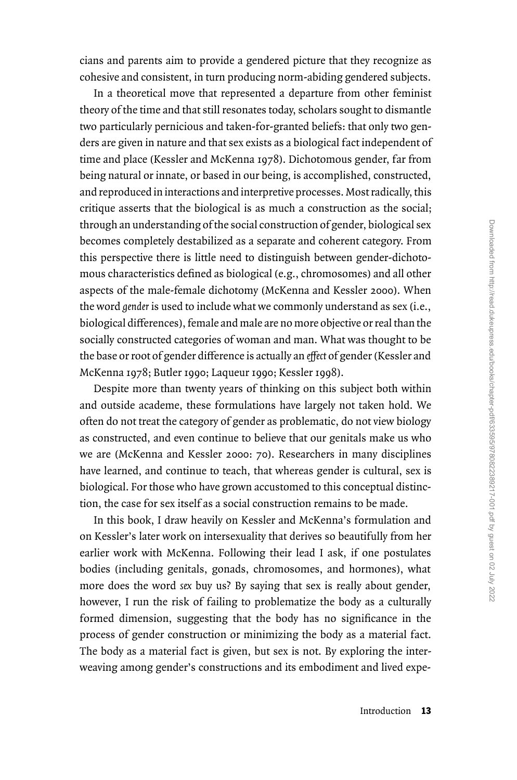cians and parents aim to provide a gendered picture that they recognize as cohesive and consistent, in turn producing norm-abiding gendered subjects.

In a theoretical move that represented a departure from other feminist theory of the time and that still resonates today, scholars sought to dismantle two particularly pernicious and taken-for-granted beliefs: that only two genders are given in nature and that sex exists as a biological fact independent of time and place (Kessler and McKenna 1978). Dichotomous gender, far from being natural or innate, or based in our being, is accomplished, constructed, and reproduced in interactions and interpretive processes. Most radically, this critique asserts that the biological is as much a construction as the social; through an understanding of the social construction of gender, biological sex becomes completely destabilized as a separate and coherent category. From this perspective there is little need to distinguish between gender-dichotomous characteristics defined as biological (e.g., chromosomes) and all other aspects of the male-female dichotomy (McKenna and Kessler 2000). When the word *gender* is used to include what we commonly understand as sex (i.e., biological differences), female and male are no more objective or real than the socially constructed categories of woman and man. What was thought to be the base or root of gender difference is actually an *e*ffect of gender (Kessler and McKenna 1978; Butler 1990; Laqueur 1990; Kessler 1998).

Despite more than twenty years of thinking on this subject both within and outside academe, these formulations have largely not taken hold. We often do not treat the category of gender as problematic, do not view biology as constructed, and even continue to believe that our genitals make us who we are (McKenna and Kessler 2000: 70). Researchers in many disciplines have learned, and continue to teach, that whereas gender is cultural, sex is biological. For those who have grown accustomed to this conceptual distinction, the case for sex itself as a social construction remains to be made.

In this book, I draw heavily on Kessler and McKenna's formulation and on Kessler's later work on intersexuality that derives so beautifully from her earlier work with McKenna. Following their lead I ask, if one postulates bodies (including genitals, gonads, chromosomes, and hormones), what more does the word *sex* buy us? By saying that sex is really about gender, however, I run the risk of failing to problematize the body as a culturally formed dimension, suggesting that the body has no significance in the process of gender construction or minimizing the body as a material fact. The body as a material fact is given, but sex is not. By exploring the interweaving among gender's constructions and its embodiment and lived expe-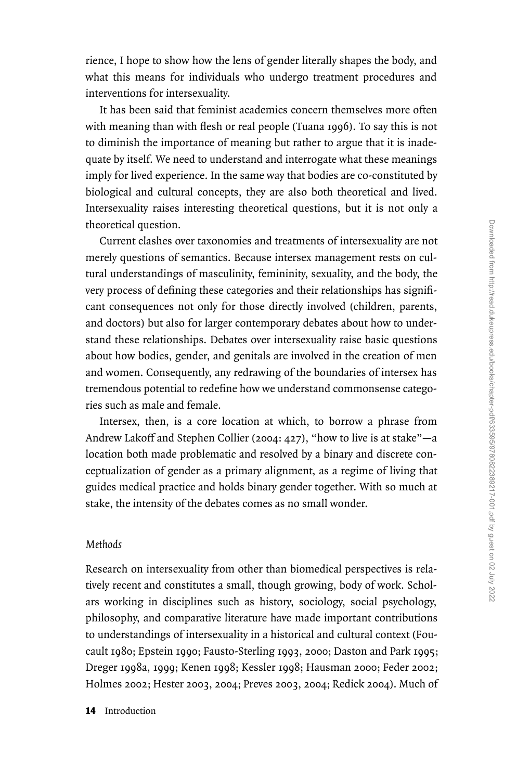rience, I hope to show how the lens of gender literally shapes the body, and what this means for individuals who undergo treatment procedures and interventions for intersexuality.

It has been said that feminist academics concern themselves more often with meaning than with flesh or real people (Tuana 1996). To say this is not to diminish the importance of meaning but rather to argue that it is inadequate by itself. We need to understand and interrogate what these meanings imply for lived experience. In the same way that bodies are co-constituted by biological and cultural concepts, they are also both theoretical and lived. Intersexuality raises interesting theoretical questions, but it is not only a theoretical question.

Current clashes over taxonomies and treatments of intersexuality are not merely questions of semantics. Because intersex management rests on cultural understandings of masculinity, femininity, sexuality, and the body, the very process of defining these categories and their relationships has significant consequences not only for those directly involved (children, parents, and doctors) but also for larger contemporary debates about how to understand these relationships. Debates over intersexuality raise basic questions about how bodies, gender, and genitals are involved in the creation of men and women. Consequently, any redrawing of the boundaries of intersex has tremendous potential to redefine how we understand commonsense categories such as male and female.

Intersex, then, is a core location at which, to borrow a phrase from Andrew Lakoff and Stephen Collier (2004: 427), "how to live is at stake"−a location both made problematic and resolved by a binary and discrete conceptualization of gender as a primary alignment, as a regime of living that guides medical practice and holds binary gender together. With so much at stake, the intensity of the debates comes as no small wonder.

### *Methods*

Research on intersexuality from other than biomedical perspectives is relatively recent and constitutes a small, though growing, body of work. Scholars working in disciplines such as history, sociology, social psychology, philosophy, and comparative literature have made important contributions to understandings of intersexuality in a historical and cultural context (Foucault 1980; Epstein 1990; Fausto-Sterling 1993, 2000; Daston and Park 1995; Dreger 1998a, 1999; Kenen 1998; Kessler 1998; Hausman 2000; Feder 2002; Holmes 2002; Hester 2003, 2004; Preves 2003, 2004; Redick 2004). Much of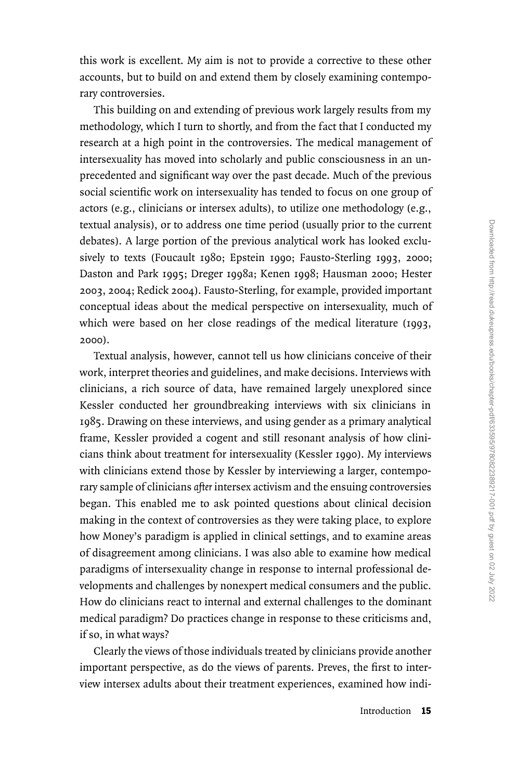this work is excellent. My aim is not to provide a corrective to these other accounts, but to build on and extend them by closely examining contemporary controversies.

This building on and extending of previous work largely results from my methodology, which I turn to shortly, and from the fact that I conducted my research at a high point in the controversies. The medical management of intersexuality has moved into scholarly and public consciousness in an unprecedented and significant way over the past decade. Much of the previous social scientific work on intersexuality has tended to focus on one group of actors (e.g., clinicians or intersex adults), to utilize one methodology (e.g., textual analysis), or to address one time period (usually prior to the current debates). A large portion of the previous analytical work has looked exclusively to texts (Foucault 1980; Epstein 1990; Fausto-Sterling 1993, 2000; Daston and Park 1995; Dreger 1998a; Kenen 1998; Hausman 2000; Hester 2003, 2004; Redick 2004). Fausto-Sterling, for example, provided important conceptual ideas about the medical perspective on intersexuality, much of which were based on her close readings of the medical literature (1993, 2000).

Textual analysis, however, cannot tell us how clinicians conceive of their work, interpret theories and guidelines, and make decisions. Interviews with clinicians, a rich source of data, have remained largely unexplored since Kessler conducted her groundbreaking interviews with six clinicians in 1985. Drawing on these interviews, and using gender as a primary analytical frame, Kessler provided a cogent and still resonant analysis of how clinicians think about treatment for intersexuality (Kessler 1990). My interviews with clinicians extend those by Kessler by interviewing a larger, contemporary sample of clinicians *after* intersex activism and the ensuing controversies began. This enabled me to ask pointed questions about clinical decision making in the context of controversies as they were taking place, to explore how Money's paradigm is applied in clinical settings, and to examine areas of disagreement among clinicians. I was also able to examine how medical paradigms of intersexuality change in response to internal professional developments and challenges by nonexpert medical consumers and the public. How do clinicians react to internal and external challenges to the dominant medical paradigm? Do practices change in response to these criticisms and, if so, in what ways?

Clearly the views of those individuals treated by clinicians provide another important perspective, as do the views of parents. Preves, the first to interview intersex adults about their treatment experiences, examined how indi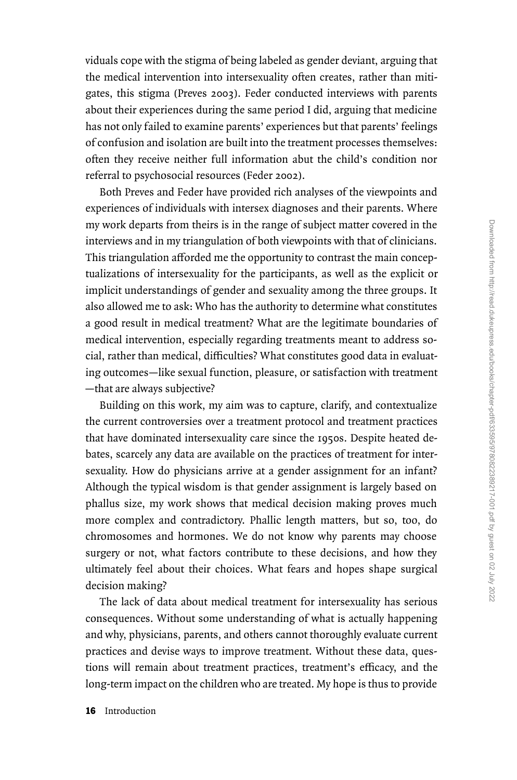viduals cope with the stigma of being labeled as gender deviant, arguing that the medical intervention into intersexuality often creates, rather than mitigates, this stigma (Preves 2003). Feder conducted interviews with parents about their experiences during the same period I did, arguing that medicine has not only failed to examine parents' experiences but that parents' feelings of confusion and isolation are built into the treatment processes themselves: often they receive neither full information abut the child's condition nor referral to psychosocial resources (Feder 2002).

Both Preves and Feder have provided rich analyses of the viewpoints and experiences of individuals with intersex diagnoses and their parents. Where my work departs from theirs is in the range of subject matter covered in the interviews and in my triangulation of both viewpoints with that of clinicians. This triangulation afforded me the opportunity to contrast the main conceptualizations of intersexuality for the participants, as well as the explicit or implicit understandings of gender and sexuality among the three groups. It also allowed me to ask: Who has the authority to determine what constitutes a good result in medical treatment? What are the legitimate boundaries of medical intervention, especially regarding treatments meant to address social, rather than medical, difficulties? What constitutes good data in evaluating outcomes—like sexual function, pleasure, or satisfaction with treatment —that are always subjective?

Building on this work, my aim was to capture, clarify, and contextualize the current controversies over a treatment protocol and treatment practices that have dominated intersexuality care since the 1950s. Despite heated debates, scarcely any data are available on the practices of treatment for intersexuality. How do physicians arrive at a gender assignment for an infant? Although the typical wisdom is that gender assignment is largely based on phallus size, my work shows that medical decision making proves much more complex and contradictory. Phallic length matters, but so, too, do chromosomes and hormones. We do not know why parents may choose surgery or not, what factors contribute to these decisions, and how they ultimately feel about their choices. What fears and hopes shape surgical decision making?

The lack of data about medical treatment for intersexuality has serious consequences. Without some understanding of what is actually happening and why, physicians, parents, and others cannot thoroughly evaluate current practices and devise ways to improve treatment. Without these data, questions will remain about treatment practices, treatment's efficacy, and the long-term impact on the children who are treated. My hope is thus to provide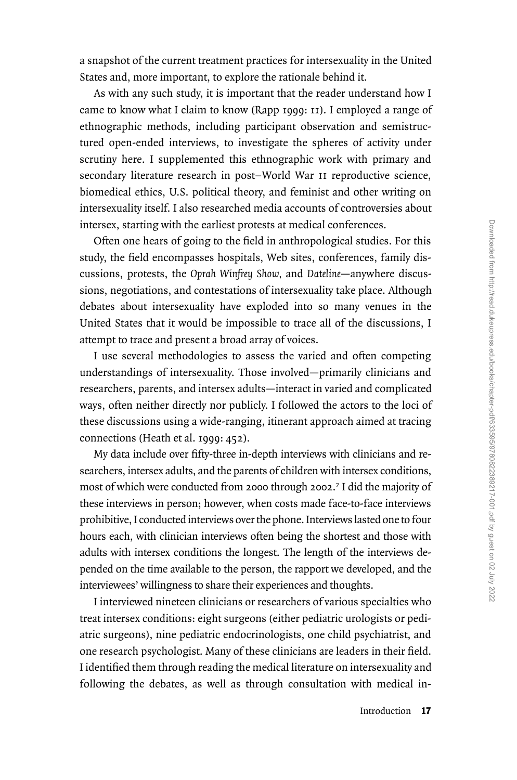a snapshot of the current treatment practices for intersexuality in the United States and, more important, to explore the rationale behind it.

As with any such study, it is important that the reader understand how I came to know what I claim to know (Rapp 1999: 11). I employed a range of ethnographic methods, including participant observation and semistructured open-ended interviews, to investigate the spheres of activity under scrutiny here. I supplemented this ethnographic work with primary and secondary literature research in post–World War ii reproductive science, biomedical ethics, U.S. political theory, and feminist and other writing on intersexuality itself. I also researched media accounts of controversies about intersex, starting with the earliest protests at medical conferences.

Often one hears of going to the field in anthropological studies. For this study, the field encompasses hospitals, Web sites, conferences, family discussions, protests, the *Oprah Winfrey Show,* and *Dateline*—anywhere discussions, negotiations, and contestations of intersexuality take place. Although debates about intersexuality have exploded into so many venues in the United States that it would be impossible to trace all of the discussions, I attempt to trace and present a broad array of voices.

I use several methodologies to assess the varied and often competing understandings of intersexuality. Those involved—primarily clinicians and researchers, parents, and intersex adults—interact in varied and complicated ways, often neither directly nor publicly. I followed the actors to the loci of these discussions using a wide-ranging, itinerant approach aimed at tracing connections (Heath et al. 1999: 452).

My data include over fifty-three in-depth interviews with clinicians and researchers, intersex adults, and the parents of children with intersex conditions, most of which were conducted from 2000 through 2002.<sup>7</sup> I did the majority of these interviews in person; however, when costs made face-to-face interviews prohibitive, I conducted interviews over the phone. Interviews lasted one to four hours each, with clinician interviews often being the shortest and those with adults with intersex conditions the longest. The length of the interviews depended on the time available to the person, the rapport we developed, and the interviewees' willingness to share their experiences and thoughts.

I interviewed nineteen clinicians or researchers of various specialties who treat intersex conditions: eight surgeons (either pediatric urologists or pediatric surgeons), nine pediatric endocrinologists, one child psychiatrist, and one research psychologist. Many of these clinicians are leaders in their field. I identified them through reading the medical literature on intersexuality and following the debates, as well as through consultation with medical in-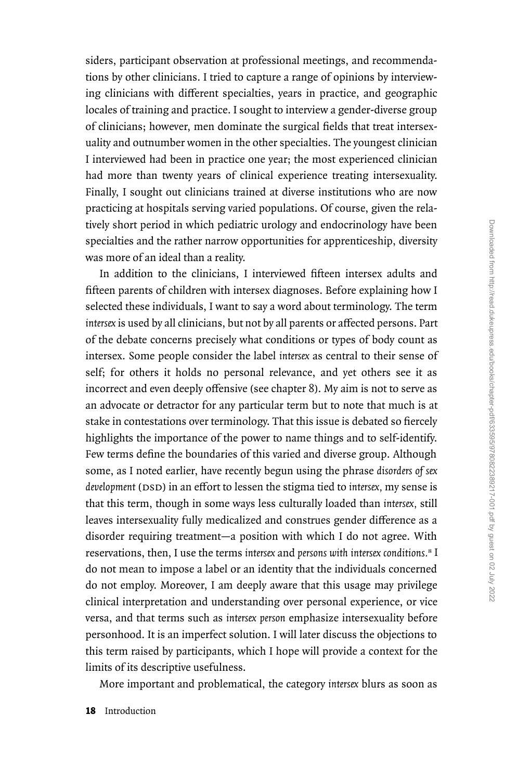siders, participant observation at professional meetings, and recommendations by other clinicians. I tried to capture a range of opinions by interviewing clinicians with different specialties, years in practice, and geographic locales of training and practice. I sought to interview a gender-diverse group of clinicians; however, men dominate the surgical fields that treat intersexuality and outnumber women in the other specialties. The youngest clinician I interviewed had been in practice one year; the most experienced clinician had more than twenty years of clinical experience treating intersexuality. Finally, I sought out clinicians trained at diverse institutions who are now practicing at hospitals serving varied populations. Of course, given the relatively short period in which pediatric urology and endocrinology have been specialties and the rather narrow opportunities for apprenticeship, diversity was more of an ideal than a reality.

In addition to the clinicians, I interviewed fifteen intersex adults and fifteen parents of children with intersex diagnoses. Before explaining how I selected these individuals, I want to say a word about terminology. The term *intersex* is used by all clinicians, but not by all parents or affected persons. Part of the debate concerns precisely what conditions or types of body count as intersex. Some people consider the label *intersex* as central to their sense of self; for others it holds no personal relevance, and yet others see it as incorrect and even deeply offensive (see chapter 8). My aim is not to serve as an advocate or detractor for any particular term but to note that much is at stake in contestations over terminology. That this issue is debated so fiercely highlights the importance of the power to name things and to self-identify. Few terms define the boundaries of this varied and diverse group. Although some, as I noted earlier, have recently begun using the phrase *disorders of sex development* (DSD) in an effort to lessen the stigma tied to *intersex*, my sense is that this term, though in some ways less culturally loaded than *intersex,* still leaves intersexuality fully medicalized and construes gender difference as a disorder requiring treatment—a position with which I do not agree. With reservations, then, I use the terms *intersex* and *persons with intersex conditions.*<sup>∫</sup> I do not mean to impose a label or an identity that the individuals concerned do not employ. Moreover, I am deeply aware that this usage may privilege clinical interpretation and understanding over personal experience, or vice versa, and that terms such as *intersex person* emphasize intersexuality before personhood. It is an imperfect solution. I will later discuss the objections to this term raised by participants, which I hope will provide a context for the limits of its descriptive usefulness.

More important and problematical, the category *intersex* blurs as soon as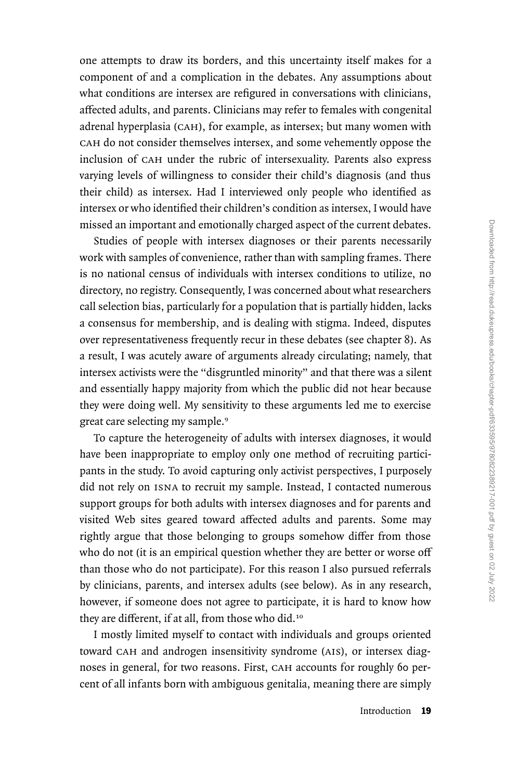one attempts to draw its borders, and this uncertainty itself makes for a component of and a complication in the debates. Any assumptions about what conditions are intersex are refigured in conversations with clinicians, affected adults, and parents. Clinicians may refer to females with congenital adrenal hyperplasia (CAH), for example, as intersex; but many women with cah do not consider themselves intersex, and some vehemently oppose the inclusion of cah under the rubric of intersexuality. Parents also express varying levels of willingness to consider their child's diagnosis (and thus their child) as intersex. Had I interviewed only people who identified as intersex or who identified their children's condition as intersex, I would have missed an important and emotionally charged aspect of the current debates.

Studies of people with intersex diagnoses or their parents necessarily work with samples of convenience, rather than with sampling frames. There is no national census of individuals with intersex conditions to utilize, no directory, no registry. Consequently, I was concerned about what researchers call selection bias, particularly for a population that is partially hidden, lacks a consensus for membership, and is dealing with stigma. Indeed, disputes over representativeness frequently recur in these debates (see chapter 8). As a result, I was acutely aware of arguments already circulating; namely, that intersex activists were the ''disgruntled minority'' and that there was a silent and essentially happy majority from which the public did not hear because they were doing well. My sensitivity to these arguments led me to exercise great care selecting my sample.<sup>9</sup>

To capture the heterogeneity of adults with intersex diagnoses, it would have been inappropriate to employ only one method of recruiting participants in the study. To avoid capturing only activist perspectives, I purposely did not rely on isna to recruit my sample. Instead, I contacted numerous support groups for both adults with intersex diagnoses and for parents and visited Web sites geared toward affected adults and parents. Some may rightly argue that those belonging to groups somehow differ from those who do not (it is an empirical question whether they are better or worse off than those who do not participate). For this reason I also pursued referrals by clinicians, parents, and intersex adults (see below). As in any research, however, if someone does not agree to participate, it is hard to know how they are different, if at all, from those who did.<sup>10</sup>

I mostly limited myself to contact with individuals and groups oriented toward CAH and androgen insensitivity syndrome (AIS), or intersex diagnoses in general, for two reasons. First, CAH accounts for roughly 60 percent of all infants born with ambiguous genitalia, meaning there are simply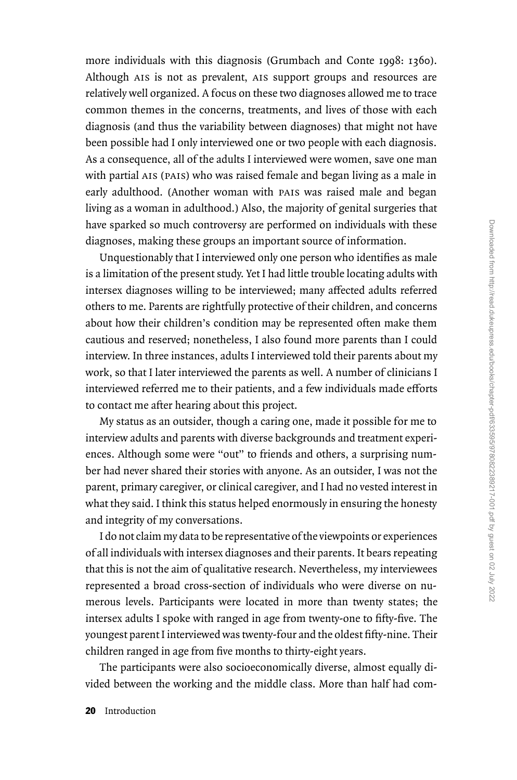more individuals with this diagnosis (Grumbach and Conte 1998: 1360). Although AIS is not as prevalent, AIS support groups and resources are relatively well organized. A focus on these two diagnoses allowed me to trace common themes in the concerns, treatments, and lives of those with each diagnosis (and thus the variability between diagnoses) that might not have been possible had I only interviewed one or two people with each diagnosis. As a consequence, all of the adults I interviewed were women, save one man with partial AIS (PAIS) who was raised female and began living as a male in early adulthood. (Another woman with pais was raised male and began living as a woman in adulthood.) Also, the majority of genital surgeries that have sparked so much controversy are performed on individuals with these diagnoses, making these groups an important source of information.

Unquestionably that I interviewed only one person who identifies as male is a limitation of the present study. Yet I had little trouble locating adults with intersex diagnoses willing to be interviewed; many affected adults referred others to me. Parents are rightfully protective of their children, and concerns about how their children's condition may be represented often make them cautious and reserved; nonetheless, I also found more parents than I could interview. In three instances, adults I interviewed told their parents about my work, so that I later interviewed the parents as well. A number of clinicians I interviewed referred me to their patients, and a few individuals made efforts to contact me after hearing about this project.

My status as an outsider, though a caring one, made it possible for me to interview adults and parents with diverse backgrounds and treatment experiences. Although some were ''out'' to friends and others, a surprising number had never shared their stories with anyone. As an outsider, I was not the parent, primary caregiver, or clinical caregiver, and I had no vested interest in what they said. I think this status helped enormously in ensuring the honesty and integrity of my conversations.

I do not claim my data to be representative of the viewpoints or experiences of all individuals with intersex diagnoses and their parents. It bears repeating that this is not the aim of qualitative research. Nevertheless, my interviewees represented a broad cross-section of individuals who were diverse on numerous levels. Participants were located in more than twenty states; the intersex adults I spoke with ranged in age from twenty-one to fifty-five. The youngest parent I interviewed was twenty-four and the oldest fifty-nine. Their children ranged in age from five months to thirty-eight years.

The participants were also socioeconomically diverse, almost equally divided between the working and the middle class. More than half had com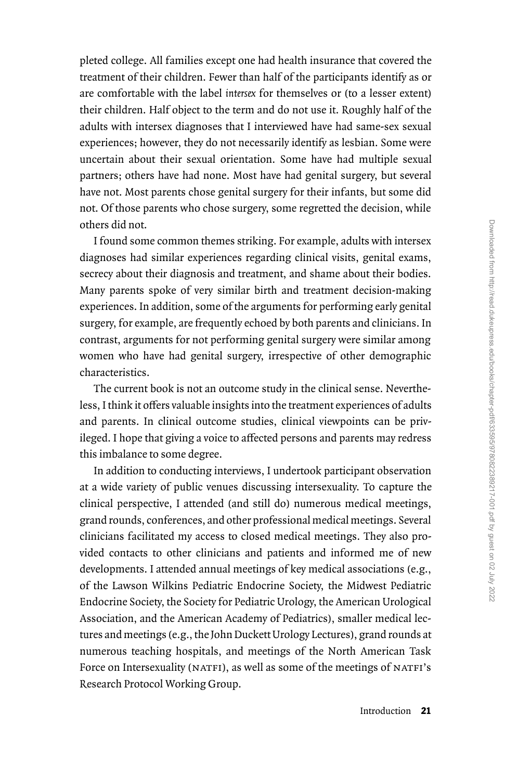pleted college. All families except one had health insurance that covered the treatment of their children. Fewer than half of the participants identify as or are comfortable with the label *intersex* for themselves or (to a lesser extent) their children. Half object to the term and do not use it. Roughly half of the adults with intersex diagnoses that I interviewed have had same-sex sexual experiences; however, they do not necessarily identify as lesbian. Some were uncertain about their sexual orientation. Some have had multiple sexual partners; others have had none. Most have had genital surgery, but several have not. Most parents chose genital surgery for their infants, but some did not. Of those parents who chose surgery, some regretted the decision, while others did not.

I found some common themes striking. For example, adults with intersex diagnoses had similar experiences regarding clinical visits, genital exams, secrecy about their diagnosis and treatment, and shame about their bodies. Many parents spoke of very similar birth and treatment decision-making experiences. In addition, some of the arguments for performing early genital surgery, for example, are frequently echoed by both parents and clinicians. In contrast, arguments for not performing genital surgery were similar among women who have had genital surgery, irrespective of other demographic characteristics.

The current book is not an outcome study in the clinical sense. Nevertheless, I think it offers valuable insights into the treatment experiences of adults and parents. In clinical outcome studies, clinical viewpoints can be privileged. I hope that giving a voice to affected persons and parents may redress this imbalance to some degree.

In addition to conducting interviews, I undertook participant observation at a wide variety of public venues discussing intersexuality. To capture the clinical perspective, I attended (and still do) numerous medical meetings, grand rounds, conferences, and other professional medical meetings. Several clinicians facilitated my access to closed medical meetings. They also provided contacts to other clinicians and patients and informed me of new developments. I attended annual meetings of key medical associations (e.g., of the Lawson Wilkins Pediatric Endocrine Society, the Midwest Pediatric Endocrine Society, the Society for Pediatric Urology, the American Urological Association, and the American Academy of Pediatrics), smaller medical lectures and meetings (e.g., the John Duckett Urology Lectures), grand rounds at numerous teaching hospitals, and meetings of the North American Task Force on Intersexuality (NATFI), as well as some of the meetings of NATFI's Research Protocol Working Group.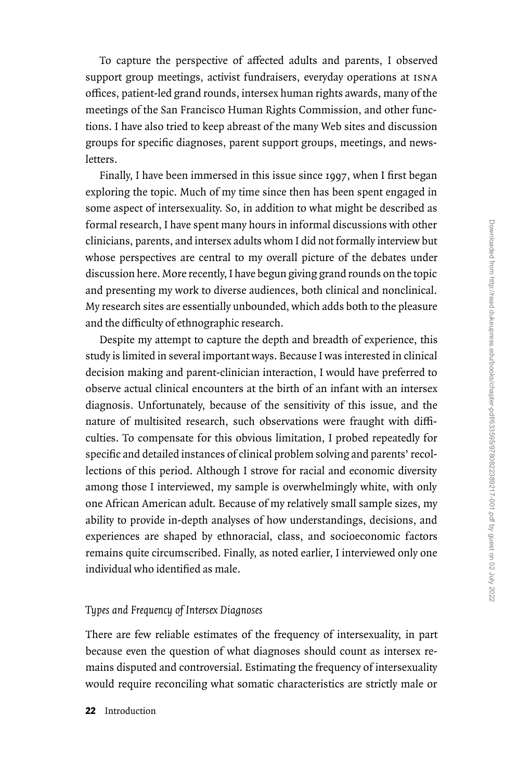To capture the perspective of affected adults and parents, I observed support group meetings, activist fundraisers, everyday operations at isna offices, patient-led grand rounds, intersex human rights awards, many of the meetings of the San Francisco Human Rights Commission, and other functions. I have also tried to keep abreast of the many Web sites and discussion groups for specific diagnoses, parent support groups, meetings, and newsletters.

Finally, I have been immersed in this issue since 1997, when I first began exploring the topic. Much of my time since then has been spent engaged in some aspect of intersexuality. So, in addition to what might be described as formal research, I have spent many hours in informal discussions with other clinicians, parents, and intersex adults whom I did not formally interview but whose perspectives are central to my overall picture of the debates under discussion here. More recently, I have begun giving grand rounds on the topic and presenting my work to diverse audiences, both clinical and nonclinical. My research sites are essentially unbounded, which adds both to the pleasure and the difficulty of ethnographic research.

Despite my attempt to capture the depth and breadth of experience, this study is limited in several important ways. Because I was interested in clinical decision making and parent-clinician interaction, I would have preferred to observe actual clinical encounters at the birth of an infant with an intersex diagnosis. Unfortunately, because of the sensitivity of this issue, and the nature of multisited research, such observations were fraught with difficulties. To compensate for this obvious limitation, I probed repeatedly for specific and detailed instances of clinical problem solving and parents' recollections of this period. Although I strove for racial and economic diversity among those I interviewed, my sample is overwhelmingly white, with only one African American adult. Because of my relatively small sample sizes, my ability to provide in-depth analyses of how understandings, decisions, and experiences are shaped by ethnoracial, class, and socioeconomic factors remains quite circumscribed. Finally, as noted earlier, I interviewed only one individual who identified as male.

#### *Types and Frequency of Intersex Diagnoses*

There are few reliable estimates of the frequency of intersexuality, in part because even the question of what diagnoses should count as intersex remains disputed and controversial. Estimating the frequency of intersexuality would require reconciling what somatic characteristics are strictly male or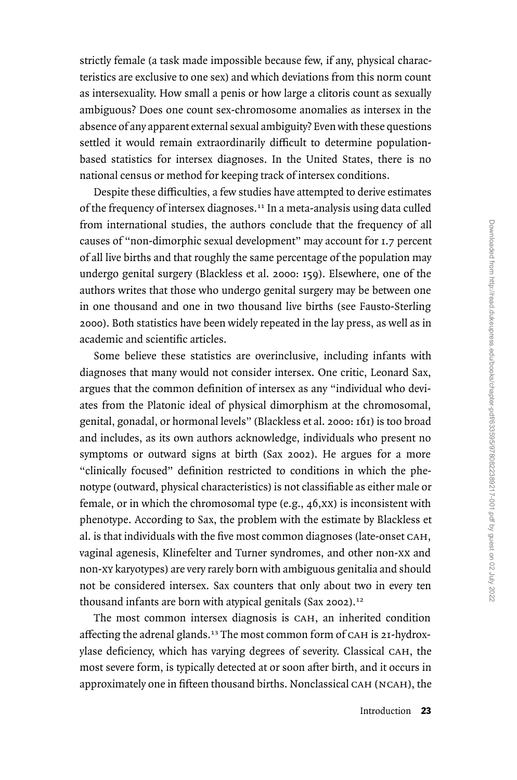strictly female (a task made impossible because few, if any, physical characteristics are exclusive to one sex) and which deviations from this norm count as intersexuality. How small a penis or how large a clitoris count as sexually ambiguous? Does one count sex-chromosome anomalies as intersex in the absence of any apparent external sexual ambiguity? Even with these questions settled it would remain extraordinarily difficult to determine populationbased statistics for intersex diagnoses. In the United States, there is no national census or method for keeping track of intersex conditions.

Despite these difficulties, a few studies have attempted to derive estimates of the frequency of intersex diagnoses.<sup>11</sup> In a meta-analysis using data culled from international studies, the authors conclude that the frequency of all causes of ''non-dimorphic sexual development'' may account for 1.7 percent of all live births and that roughly the same percentage of the population may undergo genital surgery (Blackless et al. 2000: 159). Elsewhere, one of the authors writes that those who undergo genital surgery may be between one in one thousand and one in two thousand live births (see Fausto-Sterling 2000). Both statistics have been widely repeated in the lay press, as well as in academic and scientific articles.

Some believe these statistics are overinclusive, including infants with diagnoses that many would not consider intersex. One critic, Leonard Sax, argues that the common definition of intersex as any ''individual who deviates from the Platonic ideal of physical dimorphism at the chromosomal, genital, gonadal, or hormonal levels'' (Blackless et al. 2000: 161) is too broad and includes, as its own authors acknowledge, individuals who present no symptoms or outward signs at birth (Sax 2002). He argues for a more ''clinically focused'' definition restricted to conditions in which the phenotype (outward, physical characteristics) is not classifiable as either male or female, or in which the chromosomal type (e.g., 46,xx) is inconsistent with phenotype. According to Sax, the problem with the estimate by Blackless et al. is that individuals with the five most common diagnoses (late-onset cah, vaginal agenesis, Klinefelter and Turner syndromes, and other non-xx and non-xy karyotypes) are very rarely born with ambiguous genitalia and should not be considered intersex. Sax counters that only about two in every ten thousand infants are born with atypical genitals (Sax 2002). $12$ 

The most common intersex diagnosis is CAH, an inherited condition affecting the adrenal glands.<sup>13</sup> The most common form of CAH is 21-hydroxylase deficiency, which has varying degrees of severity. Classical CAH, the most severe form, is typically detected at or soon after birth, and it occurs in approximately one in fifteen thousand births. Nonclassical cah (ncah), the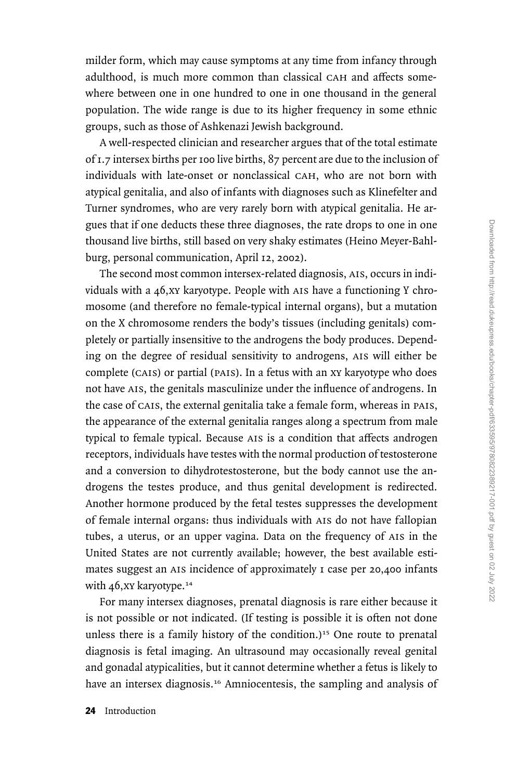milder form, which may cause symptoms at any time from infancy through adulthood, is much more common than classical CAH and affects somewhere between one in one hundred to one in one thousand in the general population. The wide range is due to its higher frequency in some ethnic groups, such as those of Ashkenazi Jewish background.

A well-respected clinician and researcher argues that of the total estimate of 1.7 intersex births per 100 live births, 87 percent are due to the inclusion of individuals with late-onset or nonclassical CAH, who are not born with atypical genitalia, and also of infants with diagnoses such as Klinefelter and Turner syndromes, who are very rarely born with atypical genitalia. He argues that if one deducts these three diagnoses, the rate drops to one in one thousand live births, still based on very shaky estimates (Heino Meyer-Bahlburg, personal communication, April 12, 2002).

The second most common intersex-related diagnosis, AIS, occurs in individuals with a 46, xy karyotype. People with AIS have a functioning Y chromosome (and therefore no female-typical internal organs), but a mutation on the X chromosome renders the body's tissues (including genitals) completely or partially insensitive to the androgens the body produces. Depending on the degree of residual sensitivity to androgens, ais will either be complete (CAIS) or partial (PAIS). In a fetus with an XY karyotype who does not have ais, the genitals masculinize under the influence of androgens. In the case of cais, the external genitalia take a female form, whereas in pais, the appearance of the external genitalia ranges along a spectrum from male typical to female typical. Because AIS is a condition that affects androgen receptors, individuals have testes with the normal production of testosterone and a conversion to dihydrotestosterone, but the body cannot use the androgens the testes produce, and thus genital development is redirected. Another hormone produced by the fetal testes suppresses the development of female internal organs: thus individuals with ais do not have fallopian tubes, a uterus, or an upper vagina. Data on the frequency of AIS in the United States are not currently available; however, the best available estimates suggest an AIS incidence of approximately I case per 20,400 infants with  $46$ , XY karyotype.<sup>14</sup>

For many intersex diagnoses, prenatal diagnosis is rare either because it is not possible or not indicated. (If testing is possible it is often not done unless there is a family history of the condition.)<sup>15</sup> One route to prenatal diagnosis is fetal imaging. An ultrasound may occasionally reveal genital and gonadal atypicalities, but it cannot determine whether a fetus is likely to have an intersex diagnosis.<sup>16</sup> Amniocentesis, the sampling and analysis of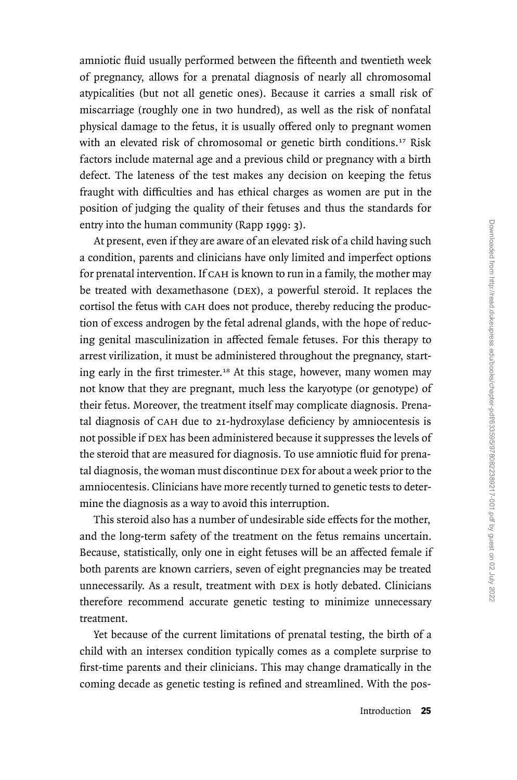amniotic fluid usually performed between the fifteenth and twentieth week of pregnancy, allows for a prenatal diagnosis of nearly all chromosomal atypicalities (but not all genetic ones). Because it carries a small risk of miscarriage (roughly one in two hundred), as well as the risk of nonfatal physical damage to the fetus, it is usually offered only to pregnant women with an elevated risk of chromosomal or genetic birth conditions.<sup>17</sup> Risk factors include maternal age and a previous child or pregnancy with a birth defect. The lateness of the test makes any decision on keeping the fetus fraught with difficulties and has ethical charges as women are put in the position of judging the quality of their fetuses and thus the standards for entry into the human community (Rapp 1999: 3).

At present, even if they are aware of an elevated risk of a child having such a condition, parents and clinicians have only limited and imperfect options for prenatal intervention. If CAH is known to run in a family, the mother may be treated with dexamethasone (DEX), a powerful steroid. It replaces the cortisol the fetus with CAH does not produce, thereby reducing the production of excess androgen by the fetal adrenal glands, with the hope of reducing genital masculinization in affected female fetuses. For this therapy to arrest virilization, it must be administered throughout the pregnancy, starting early in the first trimester.<sup>18</sup> At this stage, however, many women may not know that they are pregnant, much less the karyotype (or genotype) of their fetus. Moreover, the treatment itself may complicate diagnosis. Prenatal diagnosis of CAH due to 21-hydroxylase deficiency by amniocentesis is not possible if DEX has been administered because it suppresses the levels of the steroid that are measured for diagnosis. To use amniotic fluid for prenatal diagnosis, the woman must discontinue DEX for about a week prior to the amniocentesis. Clinicians have more recently turned to genetic tests to determine the diagnosis as a way to avoid this interruption.

This steroid also has a number of undesirable side effects for the mother, and the long-term safety of the treatment on the fetus remains uncertain. Because, statistically, only one in eight fetuses will be an affected female if both parents are known carriers, seven of eight pregnancies may be treated unnecessarily. As a result, treatment with DEX is hotly debated. Clinicians therefore recommend accurate genetic testing to minimize unnecessary treatment.

Yet because of the current limitations of prenatal testing, the birth of a child with an intersex condition typically comes as a complete surprise to first-time parents and their clinicians. This may change dramatically in the coming decade as genetic testing is refined and streamlined. With the pos-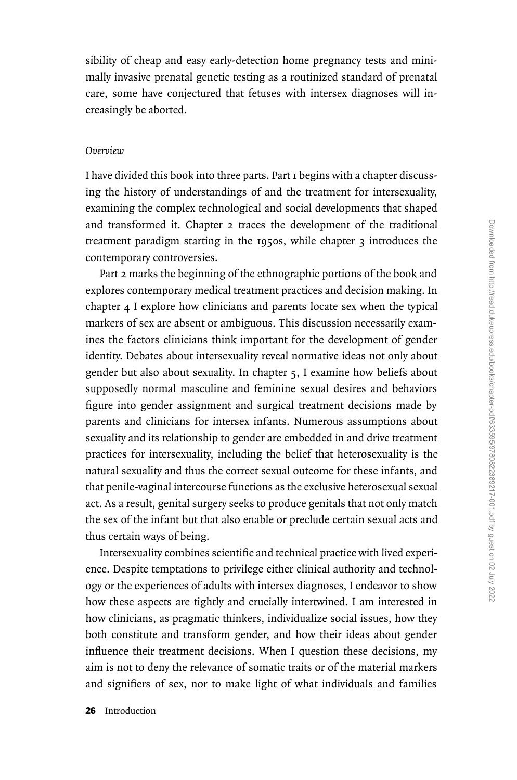sibility of cheap and easy early-detection home pregnancy tests and minimally invasive prenatal genetic testing as a routinized standard of prenatal care, some have conjectured that fetuses with intersex diagnoses will increasingly be aborted.

#### *Overview*

I have divided this book into three parts. Part 1 begins with a chapter discussing the history of understandings of and the treatment for intersexuality, examining the complex technological and social developments that shaped and transformed it. Chapter 2 traces the development of the traditional treatment paradigm starting in the 1950s, while chapter 3 introduces the contemporary controversies.

Part 2 marks the beginning of the ethnographic portions of the book and explores contemporary medical treatment practices and decision making. In chapter 4 I explore how clinicians and parents locate sex when the typical markers of sex are absent or ambiguous. This discussion necessarily examines the factors clinicians think important for the development of gender identity. Debates about intersexuality reveal normative ideas not only about gender but also about sexuality. In chapter 5, I examine how beliefs about supposedly normal masculine and feminine sexual desires and behaviors figure into gender assignment and surgical treatment decisions made by parents and clinicians for intersex infants. Numerous assumptions about sexuality and its relationship to gender are embedded in and drive treatment practices for intersexuality, including the belief that heterosexuality is the natural sexuality and thus the correct sexual outcome for these infants, and that penile-vaginal intercourse functions as the exclusive heterosexual sexual act. As a result, genital surgery seeks to produce genitals that not only match the sex of the infant but that also enable or preclude certain sexual acts and thus certain ways of being.

Intersexuality combines scientific and technical practice with lived experience. Despite temptations to privilege either clinical authority and technology or the experiences of adults with intersex diagnoses, I endeavor to show how these aspects are tightly and crucially intertwined. I am interested in how clinicians, as pragmatic thinkers, individualize social issues, how they both constitute and transform gender, and how their ideas about gender influence their treatment decisions. When I question these decisions, my aim is not to deny the relevance of somatic traits or of the material markers and signifiers of sex, nor to make light of what individuals and families